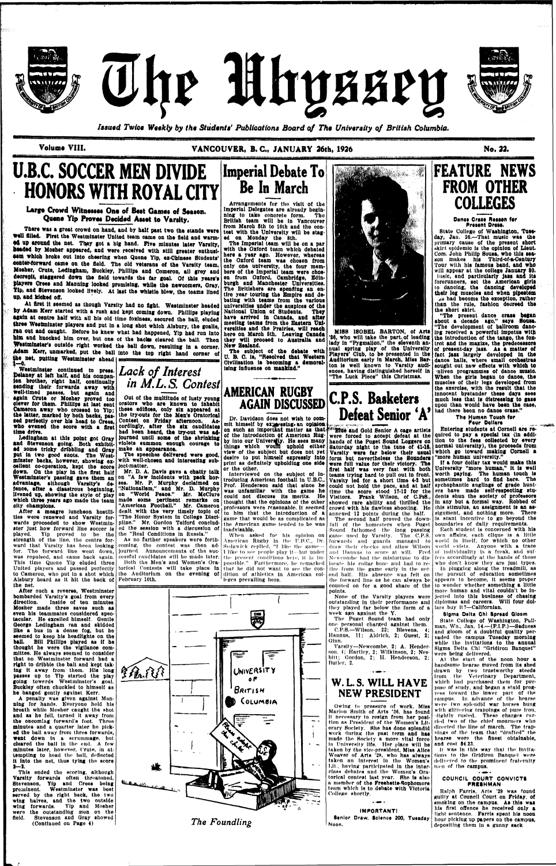



The Mhyssey

*Issued Twice Weekly by the Students' Publications Board of The University of British Columbia.* 

## **Largo Crowd Witaossos Ono of Best Games of Season.**  Quene Yip Proves Decided Asset to Varsity.



**Volume VIII. VANCOUVER, B. C, JANUARY 26th, 1926 No. 22.** 

# **U.B.C. SOCCER MEN DIVIDE HONORS WITH ROYAL CITY**

**There was a great orowd on hand, and by halt past two the stands were Well filled. First the Westminster United team came on the field snd warmed up around the net. They got a big hand. Five minutes later Varsity,**  headed by Mosher appeared, and were received with still greater enthusi**sam which broke out into cheering when Quene Yip, ex-Chinese Students' eenter-forward came on the field. The old veterans of the Varsity team,**  Mosher, Crute, Ledingham, Buckley, Phillips and Comeron, all grey and **decrepit, staggered down the field towards the far goal. Of this years's players Crees and Manning looked promising, while ths newoomers, Gray,**  Yip, and Stevenson looked lively. At last the whistle blew, the teams lined **ap, snd kicked off.** 

**At first It seemed as though Varsity had no fight. Westminster beaded by Adam Kerr started with a rush and kept coming down. Phillips playing Sgain at centre half with all his old time foxiness, secured the ball, eluded three Westminster players and put in a long shot whioh Alsbury, the goalie, rsn out snd caught. Before he knew what had happened, Yip had run Into**  him and knocked him over, but one of the baoks cleared the ball. Then **Westminster's outside right worked the ball down, resulting in a corner. Adam Kerr, unmarked, put the ball into the top right hand corner of the net, putting Westminster shead V-o.** 

**Westminster continued to press. pelsney st left halt, and hie compan-***Lack of Interest*  **ion brother, right half, continually sending their forwards away with Well-timed passes, but again and again Crute or Mosher proved too clever for them. Phillips at last sent Cameron away who crossed to YIp; the latter, marked by both backs, passed psrfeotly over his head to Crees, who evened the score with a first time drive.** 

**Ledlngham at this point got Gray Snd Stevenson going. Both exhibited some trloky dribbling and Gray put in two good snots. The Westminster backs, however, showing excellent co-operation, kept the score down. On the play in the first halt Westminster's passing gave them an advantage, although Varsity's defence, after a disastrous beginning, livened up, showing the style of play Which three years ago made the team olty champions.** 

**After a meagre luncheon hostilities were renewed and Varsity forwards proceeded to show Westminster just bow forward line soccer is** 

**Arrangements for tho visit ot the Imperial Delegates are already begin**ning to take concrete form.

**played. Yip proved to be the strength of the line, the centre forward that Varsity has heen looking coming, tho contest was then adfor. Tho forward line went down, was repulsed, ami came hack again. This time Quone Yip eluded three United players and passed perfectly Alsbury heard as It hit the back of February 10th. tbe net.** 

**After ouch a reverse, Westminster bombarded Varsity's goal from every**  Inside of ten minutes **Mosher made three saves such as even his teammates considered spectacular. He excelled himself. Gentle George Ledlngham ran and skidded like a bus In a dense fog, but he seemed to keep his headlights on the ball. Bill Phillips played as if he thought he were the vigilance committee, He always seemed to consider that no Westminster forward bad a right to dribble the ball and kept taking it away from them, His long passes up to Yip started the play going towerds West minster's goal. Buckley often chuckled to himself as he banged gently against Kerr,** 

of the introduction of American Rug**by into our University. He sees many things which wouiti uphold either view of the subject but does not yet desire to put himself expressly into print as definitely upholding one aide** 

**A penalty v/as given against Manning for hands. Everyone hold his breath while Mosher caught the shot and as he fell, turned It away from the oncoming forward's foot. Throe minutes and a quarter later ho picked the ball away from three forwards, went down In a scrummagn, but cleared the ball In the cud, A few minutes later, however, Crute, in at**tempting to head the ball, deflected **It Into the nut, thus tying the score a--2.** 

# **C.P.S. Basketers Defeat Senior 'A'**

**This ended thu scoring, although Varsity forwards often threatened, Stevenson, Yip and Crees being prominent. Westminster was best served by the right back, the two wing halves, and the two outside wing forwards. YIp and Mosher were the outstanding men on the field. Stevenson and Gray showed (Continued on Page 4)** 

on such an important matter as that **Fille** and Gold Senior A cage artists **were forced to accept defeat at the hands of the Puget Sound Loggers on Saturday night to the tune of 41-10. Varsity were far below their usual form but nevertheless the Sounders were full value for their victory. The first half was very fast with both teams trying hard to pull out in front. Varsity led for a short time 4-2 but could not hold the pace, and at halt time the score stood 17-12 for the Visitors. Frank Wilson, of C.P.8., showed rare ability and thrilled the crowd with his flawless shooting. He annexed 12 points during the half. The second half proved the down-**

**Out ot the multitude of lusty young orators who are known to Inhabit these edifices, only six appeared at the try-outs for the Men's Oratorical Contest on Friday afternoon. Accordingly, after the six candidates had been heard, ths try-out was adjourned until some of the shrinking violets summon enough courage to make an appearance.** 

to Camerou, who put in a shot which the Auditorium on the evening of dition of athletics in American col- and half. His absence was felt on When asked for his opinion on game used by Varsity. The C.P.S. |own affairs, each clique is a little **American Rugby In Ihe U.H.C., Dr. forwards and guards managed to world In Itself, for which no other possible." Furthermore, he remarked locate his collar bone and had to refall of the homesters when Puget Sound fathomed the long passing draw their checks and allow Wilson world exists. Anyone with a trace**  and Hannus to score at will. Fred of individuality is a freak, and suf-**Newcombe had the misfortune to distire from the game early In the secthe forward line as he can always be counted on for a good share of tho points. None of the Varsity players were outstanding In their performance and they played far below the form of a week ago against the Y. The Puget Sound team had only**  one personal charged against them.<br> **C.P.S.—Wilson, 22; Blevens, 4; C.P.S.—Wilson, 22; Blevens, 4; Hannus, 11; Aldrlch, 2; Guest, 2; Olnn. Varsity—Newcombe, 2; A. Henderson. I; Hartley, 2; Wilkinson, 2; Nesbltt; Gordon, 2; H. Henderson, 2; Duller, 2.** 

**The speeches delivered were good, with well-chosen and Interesting subject-matter.** 

**Mr. D. A. Davis gave a chatty talk**  on "A few incidents with pack hor**ses. Mr. P, Murphy declaimed on ".Nationalism," and Mr. D. Murphy on "World Peace." Mr. McClure made some pertinent remarks on "American Football." Mr. Cameron dealt with the very timely topic of professors were reasonable. It seemed "The Honor System in College Disci-game that would be as complicated as pline." Mr. Gordon Telford conclud**ed the session with a discussion of **inadvisable. the "Real Conditions in Russia. As no further speakers were forthjourned. Announcements of the suc**cessful candidates will be made later. the present conditions here, it is im-**Both the Men's and Women's Oratorical Contests will take place in** 

**ifisa** 

**Imperial Debate To** 

**Be In March** 

**British team will be in Vancouver from March 5th to 10th and the contest with the University will be staged on Monday the 8th.** 

**The Imperial team will be on a par with the Oxford toam which debated here a year ago. However, whereas the Oxford team was chosen from only one university, the four members of the Imperial team were chosen from Oxford, Cambridge, Edinburgh and Manchester Universities. The Britishers are spending an entire year touring the Empire and debating with teams from the various universities under tbe auspices ot the National Union ot students. They**  have arrived in Canada, and after **meeting teams from the Eastern Universities and the Prairies, will reach here on March 6th. Leaving Canada they will prooeed to Australia snd New Zealand.** 

> **fers accordingly at. the hands of those**  who don't know they are just types.

> **In plugging along the treadmill, as the pursuit of education sometimes appears to become, It seems proper to wonder whether something a little more human and vital couldn't be Injected into this business of chasing diplomas and careers. Will four dol**lars buy It?-Californian.

> **At the start of the noon hour a handsome hearse moved from Its shed drawn by two trustworthy steeds from the Veterinary Department, which had purchased them for purpose of study, and began a staid progress toward the lower part of the campus. In advance of the hearse were two splendid war horses hung with glittering trappings of pure Iron, dlghlly rusted. These charges curried two of the chief mourners who directed (he line of march. The trapnlng\* of the loom that "drafted" the hearse were tho finest obtainable,**  and cost \$4.23.

**The subject ot the debate with U. B. 0. is, "Resolved that Western Civilisation Is becoming a demoralising influence on mankind.''** 

**or the other.** 

Ralph Farris, Arts '29 was found **guilty at Council Court on Friday, of smoking on the campus. As this was his first offence he received only a light sentence. Farrls spent his noon hour picking up papers on tbe campus, depositing them In a gunny sack** 

**Interviewed on the subject of introducing American football in U.B.C, Prof. Henderson said that since he was unfamiliar with the game he could not discuss its merits. He thought that the opinions of the other to him that the Introduction of a the American game tended to be was** 

**Sedgwick replied, "I like the game--- I like to sec people play It- but under (hat he did not want (o see the conleges prevailing here.** 

# **MISS ISOBBL BARTON, of Arts**

**'28, who will take the part, of leading lady In "Pygmalion," the eleventh annual spring play of the University Players' Club, to be presented In the Auditorium early in March, Miss Barton Is well known to Varsity audiences, having distinguished herself in "The Luck Piece" this Christmas.** 

**AMERICAN RUGBY AGAIN DISCUSSED Dr. Davidson does not wish to commit himself by exaaysslng. an opinion. ........ .** 



# **W.L.S. WILL HAVE NEW PRESIDENT**

**Owing to prossiire of work, Miss Marlon Smith of Arts '26, has found It necessary to resign from her position as President of the Women's Literary Society. She has dono splendid work during the past term and has made the Society ft more vital force In University life, Her place will be taken by tho vice-president, Miss Alice**  Weaver of Arts '28, who has always taken an interest in the Women's **Mt.. hnvlng participated In the Inter**class debates and the Women's Ora**torical contest Inst year. She is also a member of the Freshette Sophomore team which Is to debate with Victoria College shortly.** 

**IMPORTANT! 8enlor Draw. Science 200, Tueeday Noon.** 

# **FEATURE NEWS FROM OTHER COLLEGES**

**Danes Orase Reason fer Present Dress.** 

**State College of Washington, Tuesday, Jan. 20.—That music was the primary cause of the present short skirt epidemic is the opinion of Lieut. Com. John Philip Sousa, who this season makes his Thlrd-of-a-Century Tour with his famous band, and who will appear at the college January 80. Iuslc, and particularly jaaa and Its forerunners, set tbe American girls to dancing, the dancing developed their leg muscles and when pipestem**  *A&* **had beoome the exception, rather than the rule, fashion decreed the the short skirt.** 

**"The present dance crass began about a decade ago," says Sousa. "The development of ballroom dsne-Ipg received a powerful Impetus with the introduction of the tango, the foxtrot and the maxixe, the predecessors of present-day jasi. As s matter of fact jass largely developed in the dance halls, where small orchestras sought out new effects with which to •nllven programmes of dance music. When the girls began to dance, the muscles of their legs developed from the exercise, with the result that the Innocent bystander these days sees much less that is distressing to gsse upon than would have been the case, had there been no dance erase."** 

**The Human Touoh for Pour Dollars** 

**Entering students at Cornell are required to pay a speolal tax (In addition to the fees oollscted by every normal university), the proceeds from which go toward making Cornell s "more human university."** 

**If a four dollar tax would make this University "more human," It Is well worth paying. The human touch is sometimes hard to find here. The sychophantlo anglings of grade hunters have made self-respecting students shun the society of professors In any but a formal way. Robbed of this stimulus, an assignment is an assignment, and nothing more. There Is scant Incentive to go beyond the boundaries of dally requirements.** 

**Rach student Is concerned with his** 

*in M.L.S. Contest* 

### **Sigma Delta Chi Spread Gloom**

**State College of Washington, Pullman, Wn" Jan. 14.—(P.l.P.)—-Saduess and gloom of a doubtful quality pervaded the campus Tuesday morning while the Invitations to the annual Sigma Delta Ch! "Gridiron Banquet" were being delivered.** 

**II was In this way thai the Invitations to the Gridiron Banquet were delivered (o the prominent fraternity n,en of tho campus.** 

## COUNCIL COURT CONVICTS **PRISMMAN**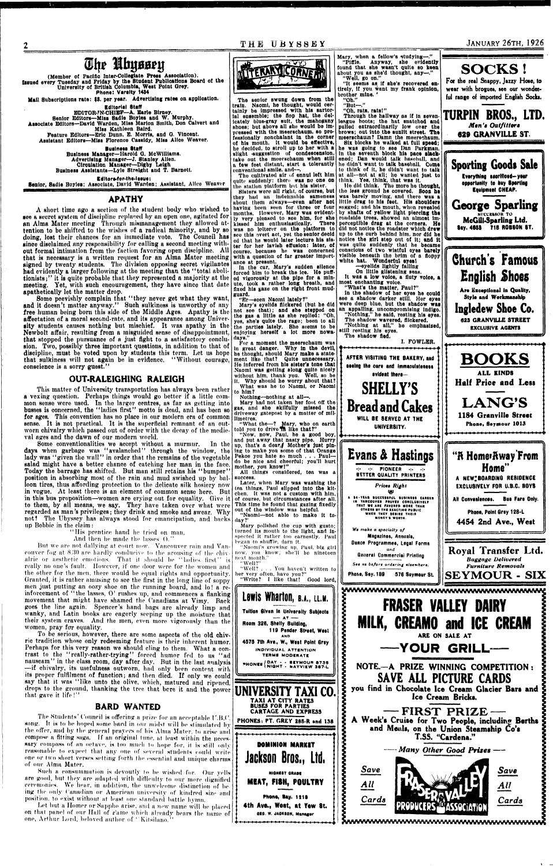**<sup>1</sup>T HE UBYSSE Y JANUARY 26TH, 1926** 

# **Sbr IbyBsri?**

(Member of Pacific Inter-Collegiate Press Association). **Issued every Tuesday and Friday by the Student Publications Board of the University of British Columbia, West Point Orey. Phone: Varsity 1434** 

**Mail Subscriptions rate: \$8. per year. Advertising rates on application.** 

**Editorial Staff** 

**BDITOR-W-CHIBF—A. Earle Birney. Senior Editors—Miss Sadie Boyles and W. Murphy. Associate Editors—David Warden, Miss Marlon Smith, Don Calvert and Miss Kathleen Baird.** 

**Feature Editors—Brie Dunn, B. Morris, and 0. Vincent. Assistant Editors—Miss Florence Cassidy, Miss Alice Weaver.** 

> **Business Staff Business Manager—Harold Q. McWtliiams. Advertising Manager—J. Btanley Allen. Ciroulatton Manager—Digby Leigh Business Assistants—Lyle Straight and T. Barnott.**

> > **Edltors-for-the-laeue:**

**Senior, Sadie Boyles; Associate, David Warden; Assistant, Alice Weaver** 

## **APATHY**

**A short tlmo npo a suction of tho student body who wished to see a secret system of discipline replaced by an open one, agitated for** an Alma Mater meeting Through mismanagement they allowed attention to be shifted to the wishes of a radical minority, and by so **doing, lost their chances for an immediate vote. The Council has since disclaimed any responsibility for calling a second meeting without formal intimation from the faction favoring open discipline, All that is necessary is a written request for an Alma Mater meeting signed by twenty students. The division opposing secret vigilantes bad evidently a larger following at the meeting than the "total abolitionists;" it is quite probable that they represented a majority at the meeting. Yet, with such encouragement, thoy have since that date apathetically let the matter drop.** 

**Some peevishly complain that "they never get what they want, and it doesn't matter anyway." Such sulkiness is unworthy of any free human being born this side of the Middle Ages. Apathy is the**  affectation of a moral second-rate, and its appearance among University students causes nothing but mischief. It was apathy in the **sity students causes nothing but mischief. It was apathy in the Newbolt affair, resulting from a misguided sense of disappointment, that stopped the pursuance of a just fight to a satisfactory conclusion. Two, possibly three important questions, in addition to that of discipline, must be voted upon by students this term. Let us hope that sulkiness will not again bo in evidence. "Without courage, conscience is a sorry guest."** 

But we are not dallying at court now. Vancouver rain and Vancouver fog at 8.30 are hardly conducive to the arousing of the chiv**alric or aesthetic emotions. That it should he "ladies first" is really no one's fault. However, if one door were for the women and**  the other for the men, there would be equal rights and opportunity. Granted, it is rather amusing to see the first in the long line of soppy **men just putting an oozy shoe on the running board, and lo! a reinforcement of "the lasses, 0 ' rushes up, and commences a flanking movement that might have shamed the Canadians at Vimy. Back goes the line again. Spencer's hand bags are already limp and wanky, and Latin books are eagerly seeping up the moisture that their system craves. And the men, even more vigorously than the women, pray for equality.** 

## **0UT.RALEIGH1NG RALEIGH**

**This matter of University transportation has always been rather a vexing question. Perhaps things would go better if a little common sonse wore used. In tho larger centres, as far as getting into busses is concerned, the "ladies first" motto is dead, and has been so for ages. This convention has no place in our modern era of common**  sense. It is not practical. It is the superficial remnant of an out**worn chivalry which passed out of order with the decay of the medieval ages and tho dawn of our modern world.** 

Let but a Homer or Sappho arise, and a new name will be placed on that panel of our Hall of Fame which already bears the name of one, Arthur Lord, beloved author of " Kitsilano.'"

**Some conventionalities we accept without a murmur. In tho days when garbage was "avalanched" through the window, the lady was "given the wall" in order that tho remains of the vegetable salad might have a better chance of catching her man in the face. Today the barrage has shifted. But man still retains his "bumper" position in absorbing most of the rain and mud swished up by balloon tires, thus affording protection to the delicate silk hosiery now in vogue. At least there is an element of common sense here. But in this bus proposition—women are crying out for equality. Give it to them, by all means, we say. They have taken over what were regarded as man's privileges; they drink and smoke and swear. Why not? The Ubyssey has always stood for emancipation, and backs up Bobbie in the claim:** 

**"His prentice hand lie tried on man.** 



**And then he made the lasses 0."** 

Through the hallway as if in seven**league hoots; the hat snatchod and pulled extraordinarily low over the brows; out Into tbe sunlit street. The** 

**To be serious, however, there are some aspects of the old chivric tradition whose only redeeming feature is their inherent humor.**  Perhaps for this very reason we should cling to them. What a con**trast to the "really-rather-trying" forced humor fed to us "ad nauseam" in the class room, day after day. But in the last analysis —if chivalry, its usefulness outworn, had only been content with its proper fulfilment of function; and then died. If only we could say that it was "like unto the olive, which, matured and ripened,**  drops to the ground, thanking the tree that bere it and the power **that gave it life!"** 

# **BARD WANTED**

The Students'Council is offering a prize for an acceptable U.B.C. song. It is to be hoped some bard in our midst will be stimulated by the offer, and by the general prayers of his Alma Mater, to arise and compose a fitting saga. If an original tune, at least within the necessary compass of an octave, is too much to hope for, it is still only reasonable lo expect that any one of several students could write one or two short verses setting forth the essential and unique charms of our Alma Mater.

Such a consummation is devoutly to he wished for. Our yells are good, but Ihey are adapted with difficulty to our more dignified ceremonies. We hour, in addition, the unwelcome distinction of be ing the only Canadian or American university of kindred size and position, to exist without at least one standard battle hymn.

**Pries\* Right 1S> A B4-YEAR BUCCESSFUL BUSINESS CAREER<br>IN VANCOUVER PROVES CONCLUSIVELY<br>THAT WE ARE FAVORED MORE THAN** OTHERS BY THE EXACTING PUBLIC<br>WHEN THEY DESIRE THEIR

**Ingledew Shoe Co. 623 GRANVILLE STREET EXCLUSIVE AGENTS** 

**The senior swung down from the train. Naomi, he thought, would certainly be Impressed with his sartorial ensemble; the flop hat, the delicately blue-gray Bult, the mahogany**  shoes; but above all she would be im**pressed with the meerschaum, so professionally nonchalant In the corner of his mouth. It would be effective, ho decided, to stroll up to her with a**  slight suggestion of condescension, **take out the meerschaum when still a tew feet distant, start a tolerantly conventional smile, and—.** 

**Tho cultivated air of ennui left him quite suddenly: there was no one on the station platform but his sister,** 

**Bisters wore till right, of course, but they had un Indetinnhle sameness about them always—even after not having been seen for three or four months, However, Mary wus evidently very pleasod to see him, tor she kissed him enthusiastically. There was no loiterer on the platform to see this overt act, yet tho senior deoid od that he would later lecture his sister for her lavish effusion: later, of course, because he was concerned**  with a question of far greater import**ance at present.** 

**In the car, Mary's sudden silence forced him to break the ice. He puffed vigorously at, the pipe for a minute, took a rather long breath, and fixed his gaze on the right front mudguard.** 

**"Er—seen Naomi lately?"** 

**Mary's eyelids flickered (but he did not see that); and she stepped on the gas a little as Bhe replied: "Ob, yes, she's quite the rage; been to all the parties lately. She seems to be enjoying herself a lot more nowadays."** 

**For a moment the meerschaum was In great danger. Why In the devil, he thought, should Mary make a statement like that? Quite unnecessary. He inferred from his sister's tone that .Naomi was getting along quite nicely without him, thank you. Well, so be It. Why should he worry about that? What was he to Naomi, or Naomi** 

**to him? Nothing—nothing at all—.** 

**Mary had not taken her foot off the gas, and she skilfully missed the driveway gatepost by a matter of millimetres.** 

**"What the—? Mary, who on earth told you to drive \*rn like that?"** 

**"Now, now, Paul, be a good boy, and put away that nasty pipe. Hurry up, that's a dear./ Mother's just pining to make you some of that Orange Pekoe you hate so much . . . Paul do be nice and cheerful; you'll hurt mother, you know!"** 

**All things considered, tea was a success,** 

**Later, when Mary was washing the tea things, Paul slipped Into the kitchen. It was not a custom with him, of course, but circumstances after all. This time he found that gazing fixedly out of the window was helpful.** 

**"Naomi—not able to make It today?'** 

**Mary polished the cup with gusto;** 

**Mary, when a fellow's studying—." "Piffle. Anyway, she evidently found that she wasn't quite so keen about you as she'd thought, any—." "Well, go on."** 

**"It seems as If she's recovered entirely, if you want my frank opinion, brother mine. '** 

**"Oh." "But—."** 

**"Oh, rats, rats!"** 

**meerschaum? Damn the meerschaum. Six blocks he walked at full speed; he was going to see Dan Parkman. In the seventh block his pace slackened; Dan would talk baseball, and he didn't want to talk baseball. Come to think of It, he didn't want to talk at all—not. at all; ho wanted Just to think. Yes, think, that was it,** 

**He did think. Tho more ho thought, tho less ground he covered. Soon he was barely moving, and there was a little drag to his feet. His shoulders sagged; nnd his mouth, when rovealod hy shafts of yellow light piercing the roadside trees, showed an almost Imperceptible drag at the corners. He did not notice the roadster which drew up to the curb behind him, nor did he notice the girl step out of It; and It was quite suddenly that he became conscious ot two wistful eyes barely visible beneath the brim of a floppy white hat. Wonderful eyes I** 



**—eyelids lightly falling On little glistening seas.** 

**It was a low voice, a fluty voice, a most enchanting voice.** 

**"What's the matter, Paul?" In the shadow ot her eyes he could see a shadow darker still. Her eyes were deep blue, but the shadow waa an appalling, uncompromising indigo.**  "Nothing," he said, resting his eyes. **The shadow wavered, flickered. "Nothing at all," he emphasised,** 

**still resting his eyes. The shadow fled,** 



**•:• •:• PIONEER •:- -:- BETTER QUALITY PRINTERS** 

# **SOCKS !**

**For the real Snappy, Jazzy Hose, to wear with brogues, see our wonderful range of imported English Socks.** 

**TURPIN BROS., LTD.**  *Men's Outfitters* 

**629 GRANVILLE ST.** 

**Sporting Goods Sale Everything eaorHloed—your opportunity to buy Sperling Equipment CHEAP.** 

**George Sparling NUCCKS80K TO McGUI-SparUng Ltd. Sey. 4653 718 R0B80N ST.** 

**Church's Famous English Shoes Are Exceptional In Quality, Style and Workmanship** 

**BOOKS ALL KINDS Half Price and Less LANG'S 1184 Granville Street** 

**Phone. Seymour 1013** 

**"ft Homeiftway From Home" A NEW;BOARDING RE8IDENGE EXCLUSIVELY FOR U.B.C. BOYS All Conveniences. Bus Fare Only. Phone, Point Gray 128-L** 

**4454 2nd Ave., West**